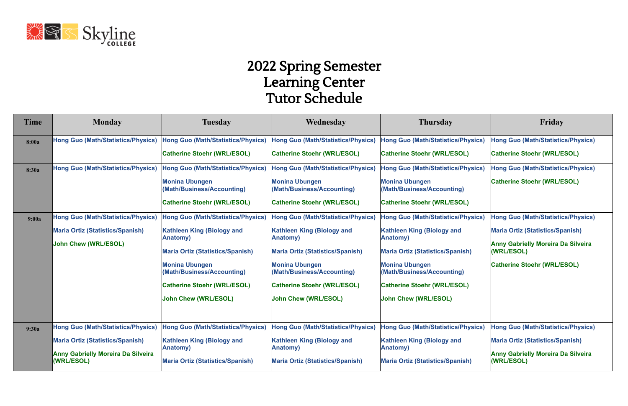

## 2022 Spring Semester Learning Center Tutor Schedule

| Time  | <b>Monday</b>                                                                                                                                   | <b>Tuesday</b>                                                                                                                                                                                                                                                     | Wednesday                                                                                                                                                                                                                                                                 | <b>Thursday</b>                                                                                                                                                                                                                                                    | Friday                                                                                                                                                                                |
|-------|-------------------------------------------------------------------------------------------------------------------------------------------------|--------------------------------------------------------------------------------------------------------------------------------------------------------------------------------------------------------------------------------------------------------------------|---------------------------------------------------------------------------------------------------------------------------------------------------------------------------------------------------------------------------------------------------------------------------|--------------------------------------------------------------------------------------------------------------------------------------------------------------------------------------------------------------------------------------------------------------------|---------------------------------------------------------------------------------------------------------------------------------------------------------------------------------------|
| 8:00a | <b>Hong Guo (Math/Statistics/Physics)</b>                                                                                                       | <b>Hong Guo (Math/Statistics/Physics)</b><br><b>Catherine Stoehr (WRL/ESOL)</b>                                                                                                                                                                                    | <b>Hong Guo (Math/Statistics/Physics)</b><br><b>Catherine Stoehr (WRL/ESOL)</b>                                                                                                                                                                                           | Hong Guo (Math/Statistics/Physics)<br><b>Catherine Stoehr (WRL/ESOL)</b>                                                                                                                                                                                           | <b>Hong Guo (Math/Statistics/Physics)</b><br><b>Catherine Stoehr (WRL/ESOL)</b>                                                                                                       |
| 8:30a | <b>Hong Guo (Math/Statistics/Physics)</b>                                                                                                       | <b>Hong Guo (Math/Statistics/Physics)</b><br><b>Monina Ubungen</b><br>(Math/Business/Accounting)<br><b>Catherine Stoehr (WRL/ESOL)</b>                                                                                                                             | <b>Hong Guo (Math/Statistics/Physics)</b><br><b>Monina Ubungen</b><br>(Math/Business/Accounting)<br><b>Catherine Stoehr (WRL/ESOL)</b>                                                                                                                                    | <b>Hong Guo (Math/Statistics/Physics)</b><br><b>Monina Ubungen</b><br>(Math/Business/Accounting)<br><b>Catherine Stoehr (WRL/ESOL)</b>                                                                                                                             | <b>Hong Guo (Math/Statistics/Physics)</b><br><b>Catherine Stoehr (WRL/ESOL)</b>                                                                                                       |
| 9:00a | <b>Hong Guo (Math/Statistics/Physics)</b><br><b>Maria Ortiz (Statistics/Spanish)</b><br><b>John Chew (WRL/ESOL)</b>                             | <b>Hong Guo (Math/Statistics/Physics)</b><br><b>Kathleen King (Biology and</b><br><b>Anatomy</b> )<br><b>Maria Ortiz (Statistics/Spanish)</b><br><b>Monina Ubungen</b><br>(Math/Business/Accounting)<br><b>Catherine Stoehr (WRL/ESOL)</b><br>John Chew (WRL/ESOL) | <b>Hong Guo (Math/Statistics/Physics)</b><br><b>Kathleen King (Biology and</b><br><b>Anatomy</b> )<br><b>Maria Ortiz (Statistics/Spanish)</b><br><b>Monina Ubungen</b><br>(Math/Business/Accounting)<br><b>Catherine Stoehr (WRL/ESOL)</b><br><b>John Chew (WRL/ESOL)</b> | Hong Guo (Math/Statistics/Physics)<br><b>Kathleen King (Biology and</b><br><b>Anatomy</b> )<br><b>Maria Ortiz (Statistics/Spanish)</b><br><b>Monina Ubungen</b><br>(Math/Business/Accounting)<br><b>Catherine Stoehr (WRL/ESOL)</b><br><b>John Chew (WRL/ESOL)</b> | <b>Hong Guo (Math/Statistics/Physics)</b><br><b>Maria Ortiz (Statistics/Spanish)</b><br><b>Anny Gabrielly Moreira Da Silveira</b><br>(WRL/ESOL)<br><b>Catherine Stoehr (WRL/ESOL)</b> |
| 9:30a | <b>Hong Guo (Math/Statistics/Physics)</b><br><b>Maria Ortiz (Statistics/Spanish)</b><br><b>Anny Gabrielly Moreira Da Silveira</b><br>(WRL/ESOL) | <b>Hong Guo (Math/Statistics/Physics)</b><br><b>Kathleen King (Biology and</b><br><b>Anatomy)</b><br><b>Maria Ortiz (Statistics/Spanish)</b>                                                                                                                       | <b>Hong Guo (Math/Statistics/Physics)</b><br><b>Kathleen King (Biology and</b><br><b>Anatomy)</b><br><b>Maria Ortiz (Statistics/Spanish)</b>                                                                                                                              | <b>Hong Guo (Math/Statistics/Physics)</b><br><b>Kathleen King (Biology and</b><br><b>Anatomy)</b><br><b>Maria Ortiz (Statistics/Spanish)</b>                                                                                                                       | <b>Hong Guo (Math/Statistics/Physics)</b><br><b>Maria Ortiz (Statistics/Spanish)</b><br><b>Anny Gabrielly Moreira Da Silveira</b><br>(WRL/ESOL)                                       |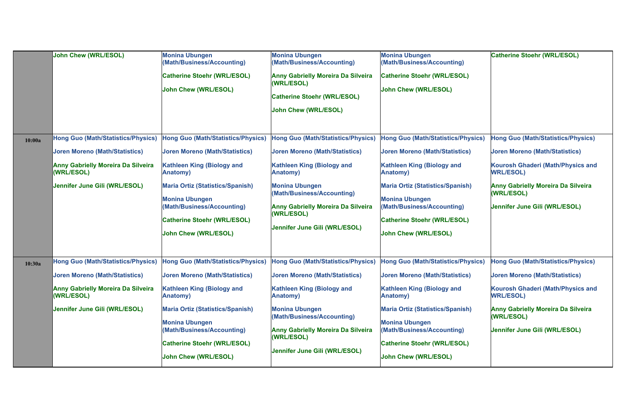|        | John Chew (WRL/ESOL)                                                                      | <b>Monina Ubungen</b><br>(Math/Business/Accounting)<br><b>Catherine Stoehr (WRL/ESOL)</b><br><b>John Chew (WRL/ESOL)</b>                                                  | <b>Monina Ubungen</b><br>(Math/Business/Accounting)<br><b>Anny Gabrielly Moreira Da Silveira</b><br>(WRL/ESOL)<br><b>Catherine Stoehr (WRL/ESOL)</b><br>John Chew (WRL/ESOL) | <b>Monina Ubungen</b><br>(Math/Business/Accounting)<br><b>Catherine Stoehr (WRL/ESOL)</b><br><b>John Chew (WRL/ESOL)</b>                                            | <b>Catherine Stoehr (WRL/ESOL)</b>                                                              |
|--------|-------------------------------------------------------------------------------------------|---------------------------------------------------------------------------------------------------------------------------------------------------------------------------|------------------------------------------------------------------------------------------------------------------------------------------------------------------------------|---------------------------------------------------------------------------------------------------------------------------------------------------------------------|-------------------------------------------------------------------------------------------------|
| 10:00a | <b>Hong Guo (Math/Statistics/Physics)</b><br><b>Joren Moreno (Math/Statistics)</b>        | <b>Hong Guo (Math/Statistics/Physics)</b><br><b>Joren Moreno (Math/Statistics)</b>                                                                                        | <b>Hong Guo (Math/Statistics/Physics)</b><br><b>Joren Moreno (Math/Statistics)</b>                                                                                           | <b>Hong Guo (Math/Statistics/Physics)</b><br><b>Joren Moreno (Math/Statistics)</b>                                                                                  | <b>Hong Guo (Math/Statistics/Physics)</b><br><b>Joren Moreno (Math/Statistics)</b>              |
|        | Anny Gabrielly Moreira Da Silveira<br>(WRL/ESOL)                                          | <b>Kathleen King (Biology and</b><br><b>Anatomy</b> )                                                                                                                     | <b>Kathleen King (Biology and</b><br><b>Anatomy</b> )                                                                                                                        | <b>Kathleen King (Biology and</b><br><b>Anatomy</b> )                                                                                                               | <b>Kourosh Ghaderi (Math/Physics and</b><br><b>WRL/ESOL)</b>                                    |
|        | Jennifer June Gili (WRL/ESOL)                                                             | <b>Maria Ortiz (Statistics/Spanish)</b><br><b>Monina Ubungen</b><br><b>Math/Business/Accounting)</b><br><b>Catherine Stoehr (WRL/ESOL)</b><br><b>John Chew (WRL/ESOL)</b> | <b>Monina Ubungen</b><br>(Math/Business/Accounting)<br><b>Anny Gabrielly Moreira Da Silveira</b><br><b>(WRL/ESOL)</b><br>Jennifer June Gili (WRL/ESOL)                       | <b>Maria Ortiz (Statistics/Spanish)</b><br><b>Monina Ubungen</b><br>(Math/Business/Accounting)<br><b>Catherine Stoehr (WRL/ESOL)</b><br><b>John Chew (WRL/ESOL)</b> | <b>Anny Gabrielly Moreira Da Silveira</b><br>(WRL/ESOL)<br>Jennifer June Gili (WRL/ESOL)        |
| 10:30a | <b>Hong Guo (Math/Statistics/Physics)</b>                                                 | <b>Hong Guo (Math/Statistics/Physics)</b>                                                                                                                                 | <b>Hong Guo (Math/Statistics/Physics)</b>                                                                                                                                    | <b>Hong Guo (Math/Statistics/Physics)</b>                                                                                                                           | <b>Hong Guo (Math/Statistics/Physics)</b>                                                       |
|        | <b>Joren Moreno (Math/Statistics)</b><br>Anny Gabrielly Moreira Da Silveira<br>(WRL/ESOL) | <b>Joren Moreno (Math/Statistics)</b><br><b>Kathleen King (Biology and</b><br><b>Anatomy</b> )                                                                            | <b>Joren Moreno (Math/Statistics)</b><br><b>Kathleen King (Biology and</b><br><b>Anatomy</b> )                                                                               | <b>Joren Moreno (Math/Statistics)</b><br><b>Kathleen King (Biology and</b><br><b>Anatomy)</b>                                                                       | <b>Joren Moreno (Math/Statistics)</b><br>Kourosh Ghaderi (Math/Physics and<br><b>WRL/ESOL)</b>  |
|        | Jennifer June Gili (WRL/ESOL)                                                             | <b>Maria Ortiz (Statistics/Spanish)</b><br><b>Monina Ubungen</b><br>(Math/Business/Accounting)<br><b>Catherine Stoehr (WRL/ESOL)</b><br><b>John Chew (WRL/ESOL)</b>       | <b>Monina Ubungen</b><br>(Math/Business/Accounting)<br><b>Anny Gabrielly Moreira Da Silveira</b><br>(WRL/ESOL)<br>Jennifer June Gili (WRL/ESOL)                              | <b>Maria Ortiz (Statistics/Spanish)</b><br><b>Monina Ubungen</b><br>(Math/Business/Accounting)<br><b>Catherine Stoehr (WRL/ESOL)</b><br><b>John Chew (WRL/ESOL)</b> | <b>Anny Gabrielly Moreira Da Silveira</b><br>(WRL/ESOL)<br><b>Jennifer June Gili (WRL/ESOL)</b> |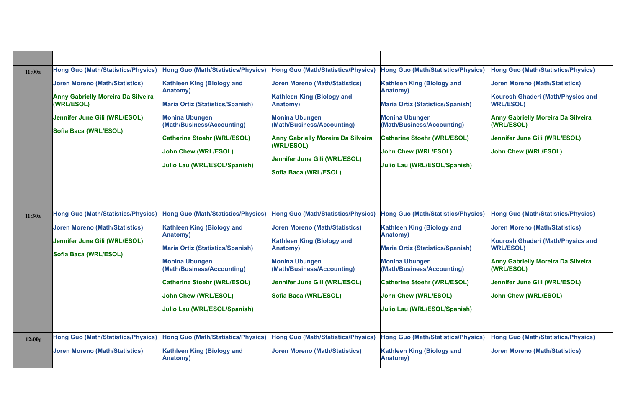| 11:00a | Hong Guo (Math/Statistics/Physics)                      | <b>Hong Guo (Math/Statistics/Physics)</b>            | <b>Hong Guo (Math/Statistics/Physics)</b>               | <b>Hong Guo (Math/Statistics/Physics)</b>            | <b>Hong Guo (Math/Statistics/Physics)</b>               |
|--------|---------------------------------------------------------|------------------------------------------------------|---------------------------------------------------------|------------------------------------------------------|---------------------------------------------------------|
|        | <b>Joren Moreno (Math/Statistics)</b>                   | <b>Kathleen King (Biology and</b><br><b>Anatomy)</b> | <b>Joren Moreno (Math/Statistics)</b>                   | <b>Kathleen King (Biology and</b><br><b>Anatomy)</b> | <b>Joren Moreno (Math/Statistics)</b>                   |
|        | Anny Gabrielly Moreira Da Silveira<br><b>(WRL/ESOL)</b> | <b>Maria Ortiz (Statistics/Spanish)</b>              | <b>Kathleen King (Biology and</b><br><b>Anatomy)</b>    | <b>Maria Ortiz (Statistics/Spanish)</b>              | Kourosh Ghaderi (Math/Physics and<br><b>WRL/ESOL)</b>   |
|        | Jennifer June Gili (WRL/ESOL)                           | <b>Monina Ubungen</b><br>(Math/Business/Accounting)  | <b>Monina Ubungen</b><br>(Math/Business/Accounting)     | <b>Monina Ubungen</b><br>(Math/Business/Accounting)  | <b>Anny Gabrielly Moreira Da Silveira</b><br>(WRL/ESOL) |
|        | Sofia Baca (WRL/ESOL)                                   | <b>Catherine Stoehr (WRL/ESOL)</b>                   | <b>Anny Gabrielly Moreira Da Silveira</b><br>(WRL/ESOL) | <b>Catherine Stoehr (WRL/ESOL)</b>                   | Jennifer June Gili (WRL/ESOL)                           |
|        |                                                         | <b>John Chew (WRL/ESOL)</b>                          | Jennifer June Gili (WRL/ESOL)                           | <b>John Chew (WRL/ESOL)</b>                          | <b>John Chew (WRL/ESOL)</b>                             |
|        |                                                         | <b>Julio Lau (WRL/ESOL/Spanish)</b>                  | Sofia Baca (WRL/ESOL)                                   | Julio Lau (WRL/ESOL/Spanish)                         |                                                         |
|        |                                                         |                                                      |                                                         |                                                      |                                                         |
| 11:30a | <b>Hong Guo (Math/Statistics/Physics)</b>               | <b>Hong Guo (Math/Statistics/Physics)</b>            | <b>Hong Guo (Math/Statistics/Physics)</b>               | <b>Hong Guo (Math/Statistics/Physics)</b>            | <b>Hong Guo (Math/Statistics/Physics)</b>               |
|        | <b>Joren Moreno (Math/Statistics)</b>                   | <b>Kathleen King (Biology and</b><br><b>Anatomy)</b> | <b>Joren Moreno (Math/Statistics)</b>                   | <b>Kathleen King (Biology and</b><br><b>Anatomy)</b> | <b>Joren Moreno (Math/Statistics)</b>                   |
|        | Jennifer June Gili (WRL/ESOL)<br>Sofia Baca (WRL/ESOL)  | <b>Maria Ortiz (Statistics/Spanish)</b>              | <b>Kathleen King (Biology and</b><br><b>Anatomy)</b>    | <b>Maria Ortiz (Statistics/Spanish)</b>              | Kourosh Ghaderi (Math/Physics and<br><b>WRL/ESOL)</b>   |
|        |                                                         | <b>Monina Ubungen</b><br>(Math/Business/Accounting)  | <b>Monina Ubungen</b><br>(Math/Business/Accounting)     | <b>Monina Ubungen</b><br>(Math/Business/Accounting)  | <b>Anny Gabrielly Moreira Da Silveira</b><br>(WRL/ESOL) |
|        |                                                         | <b>Catherine Stoehr (WRL/ESOL)</b>                   | Jennifer June Gili (WRL/ESOL)                           | <b>Catherine Stoehr (WRL/ESOL)</b>                   | Jennifer June Gili (WRL/ESOL)                           |
|        |                                                         | <b>John Chew (WRL/ESOL)</b>                          | Sofia Baca (WRL/ESOL)                                   | <b>John Chew (WRL/ESOL)</b>                          | <b>John Chew (WRL/ESOL)</b>                             |
|        |                                                         | <b>Julio Lau (WRL/ESOL/Spanish)</b>                  |                                                         | Julio Lau (WRL/ESOL/Spanish)                         |                                                         |
|        |                                                         |                                                      |                                                         |                                                      |                                                         |
| 12:00p | Hong Guo (Math/Statistics/Physics)                      | <b>Hong Guo (Math/Statistics/Physics)</b>            | <b>Hong Guo (Math/Statistics/Physics)</b>               | <b>Hong Guo (Math/Statistics/Physics)</b>            | <b>Hong Guo (Math/Statistics/Physics)</b>               |
|        | <b>Joren Moreno (Math/Statistics)</b>                   | <b>Kathleen King (Biology and</b><br><b>Anatomy)</b> | <b>Joren Moreno (Math/Statistics)</b>                   | <b>Kathleen King (Biology and</b><br><b>Anatomy)</b> | <b>Joren Moreno (Math/Statistics)</b>                   |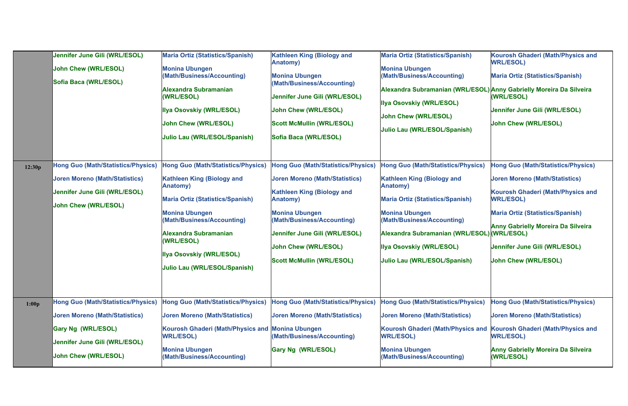|        | Jennifer June Gili (WRL/ESOL)<br><b>John Chew (WRL/ESOL)</b><br>Sofia Baca (WRL/ESOL)                                                                             | <b>Maria Ortiz (Statistics/Spanish)</b><br><b>Monina Ubungen</b><br>(Math/Business/Accounting)<br><b>Alexandra Subramanian</b><br>(WRL/ESOL)<br><b>Ilya Osovskiy (WRL/ESOL)</b><br><b>John Chew (WRL/ESOL)</b><br>Julio Lau (WRL/ESOL/Spanish)                                                                        | <b>Kathleen King (Biology and</b><br><b>Anatomy)</b><br><b>Monina Ubungen</b><br>(Math/Business/Accounting)<br>Jennifer June Gili (WRL/ESOL)<br>John Chew (WRL/ESOL)<br><b>Scott McMullin (WRL/ESOL)</b><br>Sofia Baca (WRL/ESOL)                                                              | <b>Maria Ortiz (Statistics/Spanish)</b><br><b>Monina Ubungen</b><br>(Math/Business/Accounting)<br>Alexandra Subramanian (WRL/ESOL) Anny Gabrielly Moreira Da Silveira<br><b>Illya Osovskiy (WRL/ESOL)</b><br><b>John Chew (WRL/ESOL)</b><br>Julio Lau (WRL/ESOL/Spanish)                                     | <b>Kourosh Ghaderi (Math/Physics and</b><br><b>WRL/ESOL)</b><br><b>Maria Ortiz (Statistics/Spanish)</b><br>(WRL/ESOL)<br><b>Jennifer June Gili (WRL/ESOL)</b><br><b>John Chew (WRL/ESOL)</b>                                                                                                                             |
|--------|-------------------------------------------------------------------------------------------------------------------------------------------------------------------|-----------------------------------------------------------------------------------------------------------------------------------------------------------------------------------------------------------------------------------------------------------------------------------------------------------------------|------------------------------------------------------------------------------------------------------------------------------------------------------------------------------------------------------------------------------------------------------------------------------------------------|--------------------------------------------------------------------------------------------------------------------------------------------------------------------------------------------------------------------------------------------------------------------------------------------------------------|--------------------------------------------------------------------------------------------------------------------------------------------------------------------------------------------------------------------------------------------------------------------------------------------------------------------------|
| 12:30p | <b>Hong Guo (Math/Statistics/Physics)</b><br><b>Joren Moreno (Math/Statistics)</b><br>Jennifer June Gili (WRL/ESOL)<br>John Chew (WRL/ESOL)                       | <b>Hong Guo (Math/Statistics/Physics)</b><br><b>Kathleen King (Biology and</b><br><b>Anatomy</b> )<br><b>Maria Ortiz (Statistics/Spanish)</b><br><b>Monina Ubungen</b><br>(Math/Business/Accounting)<br><b>Alexandra Subramanian</b><br>(WRL/ESOL)<br>Ilya Osovskiy (WRL/ESOL)<br><b>Julio Lau (WRL/ESOL/Spanish)</b> | <b>Hong Guo (Math/Statistics/Physics)</b><br><b>Joren Moreno (Math/Statistics)</b><br><b>Kathleen King (Biology and</b><br><b>Anatomy)</b><br><b>Monina Ubungen</b><br>(Math/Business/Accounting)<br>Jennifer June Gili (WRL/ESOL)<br>John Chew (WRL/ESOL)<br><b>Scott McMullin (WRL/ESOL)</b> | <b>Hong Guo (Math/Statistics/Physics)</b><br><b>Kathleen King (Biology and</b><br><b>Anatomy</b> )<br><b>Maria Ortiz (Statistics/Spanish)</b><br><b>Monina Ubungen</b><br>(Math/Business/Accounting)<br>Alexandra Subramanian (WRL/ESOL)<br><b>Illya Osovskiy (WRL/ESOL)</b><br>Julio Lau (WRL/ESOL/Spanish) | <b>Hong Guo (Math/Statistics/Physics)</b><br><b>Joren Moreno (Math/Statistics)</b><br>Kourosh Ghaderi (Math/Physics and<br><b>WRL/ESOL)</b><br><b>Maria Ortiz (Statistics/Spanish)</b><br><b>Anny Gabrielly Moreira Da Silveira</b><br>(WRL/ESOL)<br><b>Jennifer June Gili (WRL/ESOL)</b><br><b>John Chew (WRL/ESOL)</b> |
| 1:00p  | <b>Hong Guo (Math/Statistics/Physics)</b><br><b>Joren Moreno (Math/Statistics)</b><br>Gary Ng (WRL/ESOL)<br>Jennifer June Gili (WRL/ESOL)<br>John Chew (WRL/ESOL) | <b>Hong Guo (Math/Statistics/Physics)</b><br><b>Joren Moreno (Math/Statistics)</b><br>Kourosh Ghaderi (Math/Physics and Monina Ubungen<br><b>WRL/ESOL)</b><br><b>Monina Ubungen</b><br>(Math/Business/Accounting)                                                                                                     | <b>Hong Guo (Math/Statistics/Physics)</b><br><b>Joren Moreno (Math/Statistics)</b><br>(Math/Business/Accounting)<br>Gary Ng (WRL/ESOL)                                                                                                                                                         | <b>Hong Guo (Math/Statistics/Physics)</b><br><b>Joren Moreno (Math/Statistics)</b><br>Kourosh Ghaderi (Math/Physics and<br><b>WRL/ESOL)</b><br><b>Monina Ubungen</b><br>(Math/Business/Accounting)                                                                                                           | <b>Hong Guo (Math/Statistics/Physics)</b><br><b>Joren Moreno (Math/Statistics)</b><br>Kourosh Ghaderi (Math/Physics and<br><b>WRL/ESOL)</b><br><b>Anny Gabrielly Moreira Da Silveira</b><br>(WRL/ESOL)                                                                                                                   |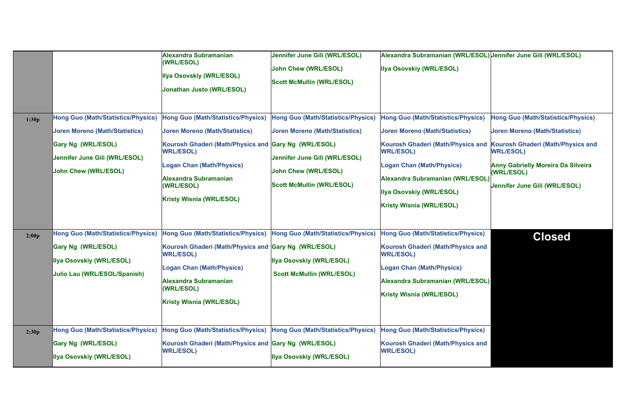|       |                                                                                                                                                                          | <b>Alexandra Subramanian</b><br>(WRL/ESOL)<br><b>Illya Osovskiy (WRL/ESOL)</b><br>Jonathan Justo (WRL/ESOL)                                                                                                                                                                         | Jennifer June Gili (WRL/ESOL)<br><b>John Chew (WRL/ESOL)</b><br><b>Scott McMullin (WRL/ESOL)</b>                                                                                       | Alexandra Subramanian (WRL/ESOL) Jennifer June Gili (WRL/ESOL)<br><b>Ilya Osovskiy (WRL/ESOL)</b>                                                                                                                                                                                                |                                                                                                                                                                                                                                         |
|-------|--------------------------------------------------------------------------------------------------------------------------------------------------------------------------|-------------------------------------------------------------------------------------------------------------------------------------------------------------------------------------------------------------------------------------------------------------------------------------|----------------------------------------------------------------------------------------------------------------------------------------------------------------------------------------|--------------------------------------------------------------------------------------------------------------------------------------------------------------------------------------------------------------------------------------------------------------------------------------------------|-----------------------------------------------------------------------------------------------------------------------------------------------------------------------------------------------------------------------------------------|
| 1:30p | <b>Hong Guo (Math/Statistics/Physics)</b><br><b>Joren Moreno (Math/Statistics)</b><br>Gary Ng (WRL/ESOL)<br>Jennifer June Gili (WRL/ESOL)<br>John Chew (WRL/ESOL)        | <b>Hong Guo (Math/Statistics/Physics)</b><br><b>Joren Moreno (Math/Statistics)</b><br>Kourosh Ghaderi (Math/Physics and Gary Ng (WRL/ESOL)<br><b>WRL/ESOL)</b><br><b>Logan Chan (Math/Physics)</b><br><b>Alexandra Subramanian</b><br>(WRL/ESOL)<br><b>Kristy Wisnia (WRL/ESOL)</b> | <b>Hong Guo (Math/Statistics/Physics)</b><br><b>Joren Moreno (Math/Statistics)</b><br>Jennifer June Gili (WRL/ESOL)<br><b>John Chew (WRL/ESOL)</b><br><b>Scott McMullin (WRL/ESOL)</b> | <b>Hong Guo (Math/Statistics/Physics)</b><br><b>Joren Moreno (Math/Statistics)</b><br><b>Kourosh Ghaderi (Math/Physics and</b><br><b>WRL/ESOL)</b><br><b>Logan Chan (Math/Physics)</b><br>Alexandra Subramanian (WRL/ESOL)<br><b>Ilya Osovskiy (WRL/ESOL)</b><br><b>Kristy Wisnia (WRL/ESOL)</b> | <b>Hong Guo (Math/Statistics/Physics)</b><br><b>Joren Moreno (Math/Statistics)</b><br>Kourosh Ghaderi (Math/Physics and<br><b>WRL/ESOL)</b><br><b>Anny Gabrielly Moreira Da Silveira</b><br>(WRL/ESOL)<br>Jennifer June Gili (WRL/ESOL) |
| 2:00p | <b>Hong Guo (Math/Statistics/Physics)</b><br><b>Gary Ng (WRL/ESOL)</b><br>Ilya Osovskiy (WRL/ESOL)<br>Julio Lau (WRL/ESOL/Spanish)<br>Hong Guo (Math/Statistics/Physics) | <b>Hong Guo (Math/Statistics/Physics)</b><br>Kourosh Ghaderi (Math/Physics and Gary Ng (WRL/ESOL)<br><b>WRL/ESOL)</b><br><b>Logan Chan (Math/Physics)</b><br><b>Alexandra Subramanian</b><br>(WRL/ESOL)<br><b>Kristy Wisnia (WRL/ESOL)</b><br>Hong Guo (Math/Statistics/Physics)    | <b>Hong Guo (Math/Statistics/Physics)</b><br><b>Ilya Osovskiy (WRL/ESOL)</b><br><b>Scott McMullin (WRL/ESOL)</b><br><b>Hong Guo (Math/Statistics/Physics)</b>                          | <b>Hong Guo (Math/Statistics/Physics)</b><br><b>Kourosh Ghaderi (Math/Physics and</b><br><b>WRL/ESOL)</b><br><b>Logan Chan (Math/Physics)</b><br>Alexandra Subramanian (WRL/ESOL)<br><b>Kristy Wisnia (WRL/ESOL)</b><br><b>Hong Guo (Math/Statistics/Physics)</b>                                | <b>Closed</b>                                                                                                                                                                                                                           |
| 2:30p | Gary Ng (WRL/ESOL)<br>Ilya Osovskiy (WRL/ESOL)                                                                                                                           | Kourosh Ghaderi (Math/Physics and Gary Ng (WRL/ESOL)<br><b>WRL/ESOL)</b>                                                                                                                                                                                                            | <b>Ilya Osovskiy (WRL/ESOL)</b>                                                                                                                                                        | Kourosh Ghaderi (Math/Physics and<br><b>WRL/ESOL)</b>                                                                                                                                                                                                                                            |                                                                                                                                                                                                                                         |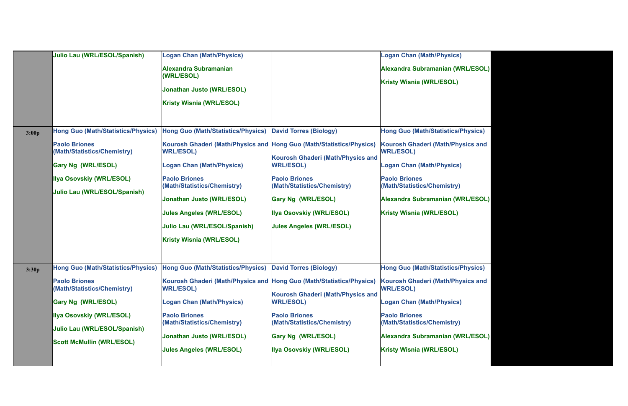|       | Julio Lau (WRL/ESOL/Spanish)                        | <b>Logan Chan (Math/Physics)</b>                                                         |                                                       | <b>Logan Chan (Math/Physics)</b>                      |  |
|-------|-----------------------------------------------------|------------------------------------------------------------------------------------------|-------------------------------------------------------|-------------------------------------------------------|--|
|       |                                                     | Alexandra Subramanian<br>(WRL/ESOL)                                                      |                                                       | Alexandra Subramanian (WRL/ESOL)                      |  |
|       |                                                     | Jonathan Justo (WRL/ESOL)                                                                |                                                       | <b>Kristy Wisnia (WRL/ESOL)</b>                       |  |
|       |                                                     | Kristy Wisnia (WRL/ESOL)                                                                 |                                                       |                                                       |  |
|       |                                                     |                                                                                          |                                                       |                                                       |  |
| 3:00p | <b>Hong Guo (Math/Statistics/Physics)</b>           | <b>Hong Guo (Math/Statistics/Physics)</b>                                                | <b>David Torres (Biology)</b>                         | Hong Guo (Math/Statistics/Physics)                    |  |
|       | <b>Paolo Briones</b><br>(Math/Statistics/Chemistry) | Kourosh Ghaderi (Math/Physics and Hong Guo (Math/Statistics/Physics)<br><b>WRL/ESOL)</b> |                                                       | Kourosh Ghaderi (Math/Physics and<br><b>WRL/ESOL)</b> |  |
|       | Gary Ng (WRL/ESOL)                                  | <b>Logan Chan (Math/Physics)</b>                                                         | Kourosh Ghaderi (Math/Physics and<br><b>WRL/ESOL)</b> | <b>Logan Chan (Math/Physics)</b>                      |  |
|       | <b>Ilya Osovskiy (WRL/ESOL)</b>                     | <b>Paolo Briones</b><br>(Math/Statistics/Chemistry)                                      | <b>Paolo Briones</b><br>(Math/Statistics/Chemistry)   | <b>Paolo Briones</b><br>(Math/Statistics/Chemistry)   |  |
|       | Julio Lau (WRL/ESOL/Spanish)                        | <b>Jonathan Justo (WRL/ESOL)</b>                                                         | Gary Ng (WRL/ESOL)                                    | Alexandra Subramanian (WRL/ESOL)                      |  |
|       |                                                     | <b>Jules Angeles (WRL/ESOL)</b>                                                          | <b>Illya Osovskiy (WRL/ESOL)</b>                      | <b>Kristy Wisnia (WRL/ESOL)</b>                       |  |
|       |                                                     | Julio Lau (WRL/ESOL/Spanish)                                                             | <b>Jules Angeles (WRL/ESOL)</b>                       |                                                       |  |
|       |                                                     | Kristy Wisnia (WRL/ESOL)                                                                 |                                                       |                                                       |  |
|       |                                                     |                                                                                          |                                                       |                                                       |  |
| 3:30p | <b>Hong Guo (Math/Statistics/Physics)</b>           | <b>Hong Guo (Math/Statistics/Physics)</b>                                                | David Torres (Biology)                                | <b>Hong Guo (Math/Statistics/Physics)</b>             |  |
|       | <b>Paolo Briones</b><br>(Math/Statistics/Chemistry) | Kourosh Ghaderi (Math/Physics and Hong Guo (Math/Statistics/Physics)<br><b>WRL/ESOL)</b> | Kourosh Ghaderi (Math/Physics and                     | Kourosh Ghaderi (Math/Physics and<br><b>WRL/ESOL)</b> |  |
|       | Gary Ng (WRL/ESOL)                                  | <b>Logan Chan (Math/Physics)</b>                                                         | <b>WRL/ESOL)</b>                                      | <b>Logan Chan (Math/Physics)</b>                      |  |
|       | Ilya Osovskiy (WRL/ESOL)                            | <b>Paolo Briones</b><br>(Math/Statistics/Chemistry)                                      | <b>Paolo Briones</b><br>(Math/Statistics/Chemistry)   | <b>Paolo Briones</b><br>(Math/Statistics/Chemistry)   |  |
|       | Julio Lau (WRL/ESOL/Spanish)                        | Jonathan Justo (WRL/ESOL)                                                                | Gary Ng (WRL/ESOL)                                    | Alexandra Subramanian (WRL/ESOL)                      |  |
|       | <b>Scott McMullin (WRL/ESOL)</b>                    |                                                                                          |                                                       |                                                       |  |
|       |                                                     | <b>Jules Angeles (WRL/ESOL)</b>                                                          | <b>Illya Osovskiy (WRL/ESOL)</b>                      | <b>Kristy Wisnia (WRL/ESOL)</b>                       |  |
|       |                                                     |                                                                                          |                                                       |                                                       |  |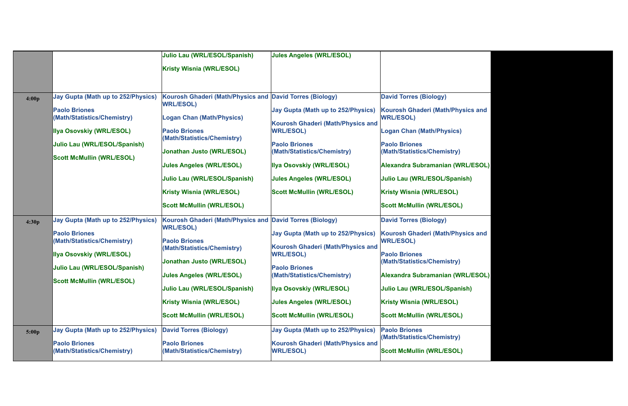|       |                                                     | Julio Lau (WRL/ESOL/Spanish)                                                 | <b>Jules Angeles (WRL/ESOL)</b>                              |                                                       |  |
|-------|-----------------------------------------------------|------------------------------------------------------------------------------|--------------------------------------------------------------|-------------------------------------------------------|--|
|       |                                                     | <b>Kristy Wisnia (WRL/ESOL)</b>                                              |                                                              |                                                       |  |
|       |                                                     |                                                                              |                                                              |                                                       |  |
| 4:00p | <b>Jay Gupta (Math up to 252/Physics)</b>           | <b>Kourosh Ghaderi (Math/Physics and David Torres (Biology)</b>              |                                                              | <b>David Torres (Biology)</b>                         |  |
|       | <b>Paolo Briones</b><br>(Math/Statistics/Chemistry) | <b>WRL/ESOL)</b><br><b>Logan Chan (Math/Physics)</b>                         | <b>Jay Gupta (Math up to 252/Physics)</b>                    | Kourosh Ghaderi (Math/Physics and<br><b>WRL/ESOL)</b> |  |
|       | Ilya Osovskiy (WRL/ESOL)                            | <b>Paolo Briones</b>                                                         | <b>Kourosh Ghaderi (Math/Physics and</b><br><b>WRL/ESOL)</b> | <b>Logan Chan (Math/Physics)</b>                      |  |
|       | Julio Lau (WRL/ESOL/Spanish)                        | (Math/Statistics/Chemistry)                                                  | <b>Paolo Briones</b>                                         | <b>Paolo Briones</b>                                  |  |
|       | <b>Scott McMullin (WRL/ESOL)</b>                    | <b>Jonathan Justo (WRL/ESOL)</b>                                             | (Math/Statistics/Chemistry)                                  | (Math/Statistics/Chemistry)                           |  |
|       |                                                     | <b>Jules Angeles (WRL/ESOL)</b>                                              | <b>Ilya Osovskiy (WRL/ESOL)</b>                              | Alexandra Subramanian (WRL/ESOL)                      |  |
|       |                                                     | <b>Julio Lau (WRL/ESOL/Spanish)</b>                                          | <b>Jules Angeles (WRL/ESOL)</b>                              | <b>Julio Lau (WRL/ESOL/Spanish)</b>                   |  |
|       |                                                     | Kristy Wisnia (WRL/ESOL)                                                     | <b>Scott McMullin (WRL/ESOL)</b>                             | Kristy Wisnia (WRL/ESOL)                              |  |
|       |                                                     | <b>Scott McMullin (WRL/ESOL)</b>                                             |                                                              | <b>Scott McMullin (WRL/ESOL)</b>                      |  |
| 4:30p | <b>Jay Gupta (Math up to 252/Physics)</b>           | Kourosh Ghaderi (Math/Physics and David Torres (Biology)<br><b>WRL/ESOL)</b> |                                                              | <b>David Torres (Biology)</b>                         |  |
|       | <b>Paolo Briones</b><br>(Math/Statistics/Chemistry) | <b>Paolo Briones</b>                                                         | <b>Jay Gupta (Math up to 252/Physics)</b>                    | Kourosh Ghaderi (Math/Physics and<br><b>WRL/ESOL)</b> |  |
|       | <b>Ilya Osovskiy (WRL/ESOL)</b>                     | (Math/Statistics/Chemistry)                                                  | <b>Kourosh Ghaderi (Math/Physics and</b><br><b>WRL/ESOL)</b> | <b>Paolo Briones</b>                                  |  |
|       | Julio Lau (WRL/ESOL/Spanish)                        | <b>Jonathan Justo (WRL/ESOL)</b>                                             | <b>Paolo Briones</b>                                         | (Math/Statistics/Chemistry)                           |  |
|       | <b>Scott McMullin (WRL/ESOL)</b>                    | <b>Jules Angeles (WRL/ESOL)</b>                                              | (Math/Statistics/Chemistry)                                  | Alexandra Subramanian (WRL/ESOL)                      |  |
|       |                                                     | Julio Lau (WRL/ESOL/Spanish)                                                 | <b>Ilya Osovskiy (WRL/ESOL)</b>                              | <b>Julio Lau (WRL/ESOL/Spanish)</b>                   |  |
|       |                                                     | <b>Kristy Wisnia (WRL/ESOL)</b>                                              | <b>Jules Angeles (WRL/ESOL)</b>                              | Kristy Wisnia (WRL/ESOL)                              |  |
|       |                                                     | <b>Scott McMullin (WRL/ESOL)</b>                                             | <b>Scott McMullin (WRL/ESOL)</b>                             | <b>Scott McMullin (WRL/ESOL)</b>                      |  |
| 5:00p | <b>Jay Gupta (Math up to 252/Physics)</b>           | <b>David Torres (Biology)</b>                                                | <b>Jay Gupta (Math up to 252/Physics)</b>                    | <b>Paolo Briones</b><br>(Math/Statistics/Chemistry)   |  |
|       | <b>Paolo Briones</b><br>(Math/Statistics/Chemistry) | <b>Paolo Briones</b><br>(Math/Statistics/Chemistry)                          | <b>Kourosh Ghaderi (Math/Physics and</b><br><b>WRL/ESOL)</b> | <b>Scott McMullin (WRL/ESOL)</b>                      |  |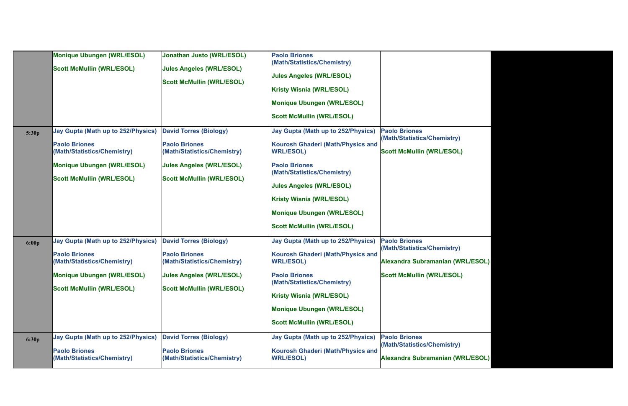|       | <b>Monique Ubungen (WRL/ESOL)</b><br><b>Scott McMullin (WRL/ESOL)</b>                                                                                                     | <b>Jonathan Justo (WRL/ESOL)</b><br><b>Jules Angeles (WRL/ESOL)</b><br><b>Scott McMullin (WRL/ESOL)</b>                                                     | <b>Paolo Briones</b><br>(Math/Statistics/Chemistry)<br><b>Jules Angeles (WRL/ESOL)</b><br><b>Kristy Wisnia (WRL/ESOL)</b><br><b>Monique Ubungen (WRL/ESOL)</b><br><b>Scott McMullin (WRL/ESOL)</b>                                                                                                              |                                                                                                                             |
|-------|---------------------------------------------------------------------------------------------------------------------------------------------------------------------------|-------------------------------------------------------------------------------------------------------------------------------------------------------------|-----------------------------------------------------------------------------------------------------------------------------------------------------------------------------------------------------------------------------------------------------------------------------------------------------------------|-----------------------------------------------------------------------------------------------------------------------------|
| 5:30p | <b>Jay Gupta (Math up to 252/Physics)</b><br><b>Paolo Briones</b><br>(Math/Statistics/Chemistry)<br><b>Monique Ubungen (WRL/ESOL)</b><br><b>Scott McMullin (WRL/ESOL)</b> | <b>David Torres (Biology)</b><br><b>Paolo Briones</b><br>(Math/Statistics/Chemistry)<br><b>Jules Angeles (WRL/ESOL)</b><br><b>Scott McMullin (WRL/ESOL)</b> | <b>Jay Gupta (Math up to 252/Physics)</b><br><b>Kourosh Ghaderi (Math/Physics and</b><br><b>WRL/ESOL)</b><br><b>Paolo Briones</b><br>(Math/Statistics/Chemistry)<br><b>Jules Angeles (WRL/ESOL)</b><br><b>Kristy Wisnia (WRL/ESOL)</b><br><b>Monique Ubungen (WRL/ESOL)</b><br><b>Scott McMullin (WRL/ESOL)</b> | <b>Paolo Briones</b><br>(Math/Statistics/Chemistry)<br><b>Scott McMullin (WRL/ESOL)</b>                                     |
| 6:00p | Jay Gupta (Math up to 252/Physics)<br><b>Paolo Briones</b><br>(Math/Statistics/Chemistry)<br><b>Monique Ubungen (WRL/ESOL)</b><br><b>Scott McMullin (WRL/ESOL)</b>        | <b>David Torres (Biology)</b><br><b>Paolo Briones</b><br>(Math/Statistics/Chemistry)<br><b>Jules Angeles (WRL/ESOL)</b><br><b>Scott McMullin (WRL/ESOL)</b> | <b>Jay Gupta (Math up to 252/Physics)</b><br><b>Kourosh Ghaderi (Math/Physics and</b><br><b>WRL/ESOL)</b><br><b>Paolo Briones</b><br>(Math/Statistics/Chemistry)<br><b>Kristy Wisnia (WRL/ESOL)</b><br><b>Monique Ubungen (WRL/ESOL)</b><br><b>Scott McMullin (WRL/ESOL)</b>                                    | <b>Paolo Briones</b><br>(Math/Statistics/Chemistry)<br><b>Alexandra Subramanian (WF</b><br><b>Scott McMullin (WRL/ESOL)</b> |
| 6:30p | <b>Jay Gupta (Math up to 252/Physics)</b><br><b>Paolo Briones</b><br>(Math/Statistics/Chemistry)                                                                          | <b>David Torres (Biology)</b><br><b>Paolo Briones</b><br>(Math/Statistics/Chemistry)                                                                        | <b>Jay Gupta (Math up to 252/Physics)</b><br><b>Kourosh Ghaderi (Math/Physics and</b><br><b>WRL/ESOL)</b>                                                                                                                                                                                                       | <b>Paolo Briones</b><br>(Math/Statistics/Chemistry)<br><b>Alexandra Subramanian (WF</b>                                     |

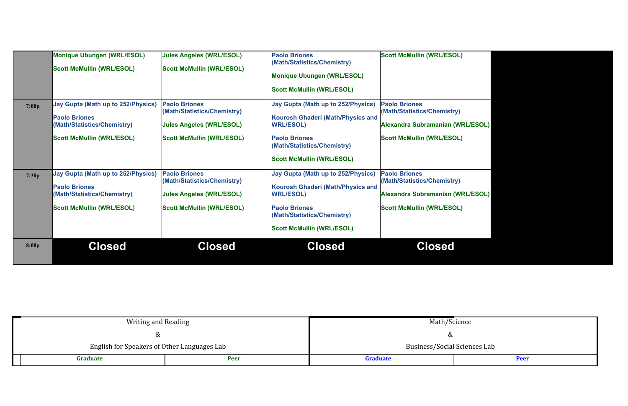| 8:00p | <b>Closed</b>                             | <b>Closed</b>                    | <b>Closed</b>                                       | <b>Closed</b>                    |
|-------|-------------------------------------------|----------------------------------|-----------------------------------------------------|----------------------------------|
|       |                                           |                                  | <b>Scott McMullin (WRL/ESOL)</b>                    |                                  |
|       | <b>Scott McMullin (WRL/ESOL)</b>          | <b>Scott McMullin (WRL/ESOL)</b> | <b>Paolo Briones</b><br>(Math/Statistics/Chemistry) | <b>Scott McMullin (WRL/ESOL)</b> |
|       | (Math/Statistics/Chemistry)               | <b>Jules Angeles (WRL/ESOL)</b>  | <b>WRL/ESOL)</b>                                    | <b>Alexandra Subramanian (WF</b> |
|       | <b>Paolo Briones</b>                      | (Math/Statistics/Chemistry)      | Kourosh Ghaderi (Math/Physics and                   | (Math/Statistics/Chemistry)      |
| 7:30p | <b>Jay Gupta (Math up to 252/Physics)</b> | <b>Paolo Briones</b>             | <b>Jay Gupta (Math up to 252/Physics)</b>           | <b>Paolo Briones</b>             |
|       |                                           |                                  | <b>Scott McMullin (WRL/ESOL)</b>                    |                                  |
|       | <b>Scott McMullin (WRL/ESOL)</b>          | <b>Scott McMullin (WRL/ESOL)</b> | <b>Paolo Briones</b><br>(Math/Statistics/Chemistry) | <b>Scott McMullin (WRL/ESOL)</b> |
|       | (Math/Statistics/Chemistry)               | <b>Jules Angeles (WRL/ESOL)</b>  | <b>WRL/ESOL)</b>                                    | <b>Alexandra Subramanian (WF</b> |
|       | <b>Paolo Briones</b>                      | (Math/Statistics/Chemistry)      | Kourosh Ghaderi (Math/Physics and                   | (Math/Statistics/Chemistry)      |
| 7:00p | <b>Jay Gupta (Math up to 252/Physics)</b> | <b>Paolo Briones</b>             | <b>Jay Gupta (Math up to 252/Physics)</b>           | <b>Paolo Briones</b>             |
|       |                                           |                                  | <b>Scott McMullin (WRL/ESOL)</b>                    |                                  |
|       |                                           |                                  | Monique Ubungen (WRL/ESOL)                          |                                  |
|       | <b>Scott McMullin (WRL/ESOL)</b>          | <b>Scott McMullin (WRL/ESOL)</b> | (Math/Statistics/Chemistry)                         |                                  |
|       | <b>Monique Ubungen (WRL/ESOL)</b>         | <b>Jules Angeles (WRL/ESOL)</b>  | <b>Paolo Briones</b>                                | <b>Scott McMullin (WRL/ESOL)</b> |



| ice        |             |  |
|------------|-------------|--|
| iences Lab |             |  |
|            | <b>Peer</b> |  |

|                                             | Graduate | <b>Peer</b>                         | <b>Graduate</b> | <b>Peer</b> |
|---------------------------------------------|----------|-------------------------------------|-----------------|-------------|
| English for Speakers of Other Languages Lab |          | Business/Social Sciences Lab        |                 |             |
|                                             |          |                                     |                 |             |
|                                             |          | Writing and Reading<br>Math/Science |                 |             |